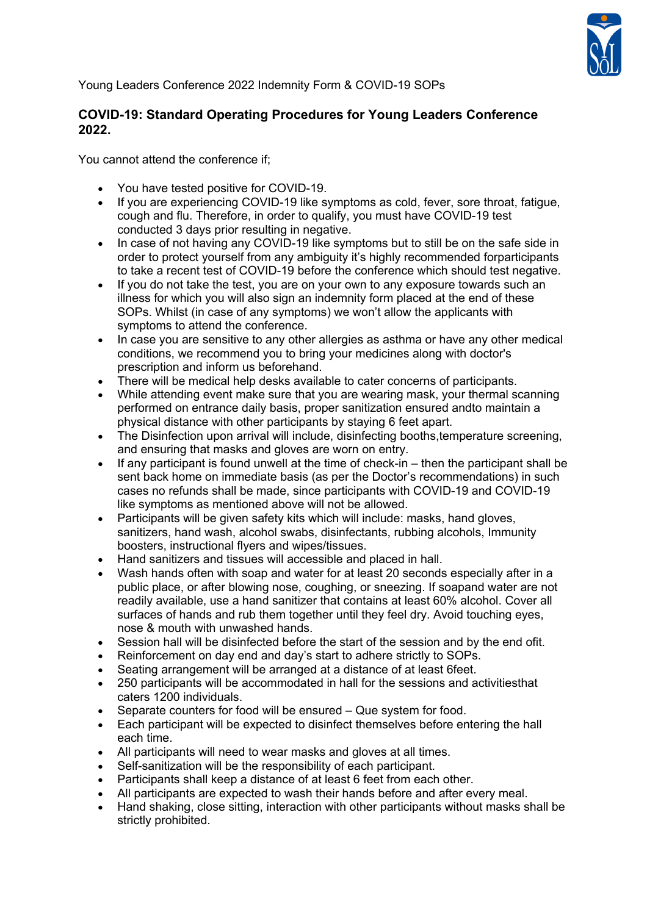

Young Leaders Conference 2022 Indemnity Form & COVID-19 SOPs

## **COVID-19: Standard Operating Procedures for Young Leaders Conference 2022.**

You cannot attend the conference if;

- You have tested positive for COVID-19.
- If you are experiencing COVID-19 like symptoms as cold, fever, sore throat, fatigue, cough and flu. Therefore, in order to qualify, you must have COVID-19 test conducted 3 days prior resulting in negative.
- In case of not having any COVID-19 like symptoms but to still be on the safe side in order to protect yourself from any ambiguity it's highly recommended forparticipants to take a recent test of COVID-19 before the conference which should test negative.
- If you do not take the test, you are on your own to any exposure towards such an illness for which you will also sign an indemnity form placed at the end of these SOPs. Whilst (in case of any symptoms) we won't allow the applicants with symptoms to attend the conference.
- In case you are sensitive to any other allergies as asthma or have any other medical conditions, we recommend you to bring your medicines along with doctor's prescription and inform us beforehand.
- There will be medical help desks available to cater concerns of participants.
- While attending event make sure that you are wearing mask, your thermal scanning performed on entrance daily basis, proper sanitization ensured andto maintain a physical distance with other participants by staying 6 feet apart.
- The Disinfection upon arrival will include, disinfecting booths, temperature screening. and ensuring that masks and gloves are worn on entry.
- If any participant is found unwell at the time of check-in then the participant shall be sent back home on immediate basis (as per the Doctor's recommendations) in such cases no refunds shall be made, since participants with COVID-19 and COVID-19 like symptoms as mentioned above will not be allowed.
- Participants will be given safety kits which will include: masks, hand gloves, sanitizers, hand wash, alcohol swabs, disinfectants, rubbing alcohols, Immunity boosters, instructional flyers and wipes/tissues.
- Hand sanitizers and tissues will accessible and placed in hall.
- Wash hands often with soap and water for at least 20 seconds especially after in a public place, or after blowing nose, coughing, or sneezing. If soapand water are not readily available, use a hand sanitizer that contains at least 60% alcohol. Cover all surfaces of hands and rub them together until they feel dry. Avoid touching eyes, nose & mouth with unwashed hands.
- Session hall will be disinfected before the start of the session and by the end ofit.
- Reinforcement on day end and day's start to adhere strictly to SOPs.
- Seating arrangement will be arranged at a distance of at least 6feet.
- 250 participants will be accommodated in hall for the sessions and activitiesthat caters 1200 individuals.
- Separate counters for food will be ensured Que system for food.
- Each participant will be expected to disinfect themselves before entering the hall each time.
- All participants will need to wear masks and gloves at all times.
- Self-sanitization will be the responsibility of each participant.
- Participants shall keep a distance of at least 6 feet from each other.
- All participants are expected to wash their hands before and after every meal.
- Hand shaking, close sitting, interaction with other participants without masks shall be strictly prohibited.